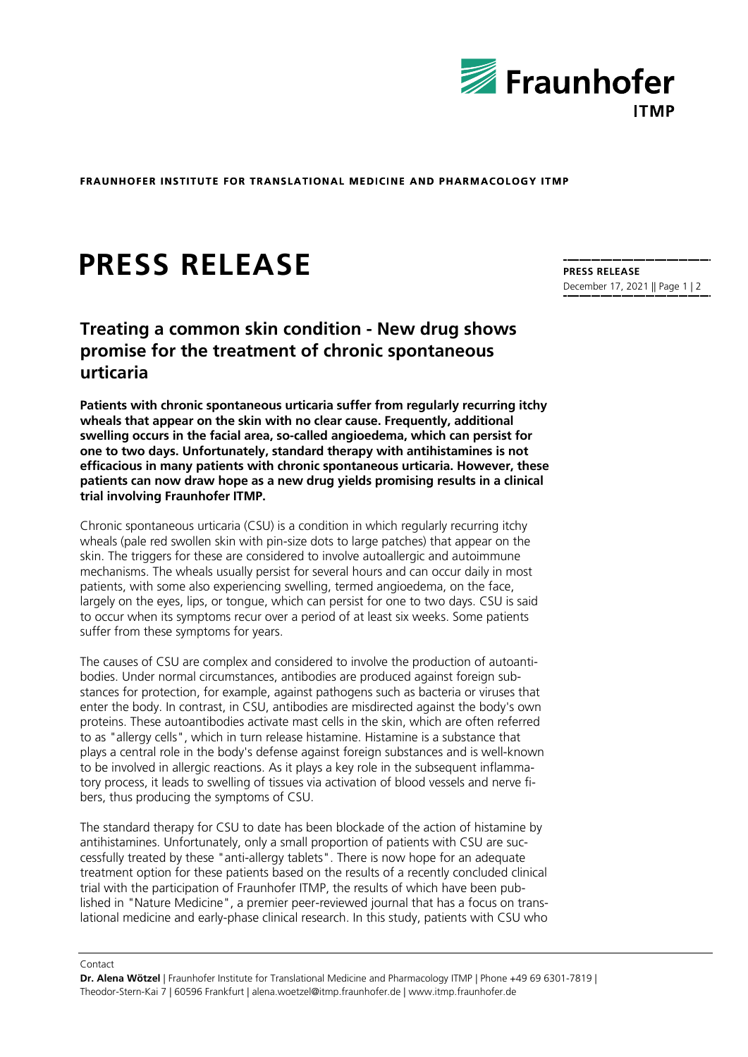

**FRAUNHOFER INSTITUTE FOR TRANSLATIONAL MEDICINE AND PHARMACOLOGY ITMP** 

## **PRESS RELEASE**

**Treating a common skin condition - New drug shows promise for the treatment of chronic spontaneous urticaria**

**Patients with chronic spontaneous urticaria suffer from regularly recurring itchy wheals that appear on the skin with no clear cause. Frequently, additional swelling occurs in the facial area, so-called angioedema, which can persist for one to two days. Unfortunately, standard therapy with antihistamines is not efficacious in many patients with chronic spontaneous urticaria. However, these patients can now draw hope as a new drug yields promising results in a clinical trial involving Fraunhofer ITMP.**

Chronic spontaneous urticaria (CSU) is a condition in which regularly recurring itchy wheals (pale red swollen skin with pin-size dots to large patches) that appear on the skin. The triggers for these are considered to involve autoallergic and autoimmune mechanisms. The wheals usually persist for several hours and can occur daily in most patients, with some also experiencing swelling, termed angioedema, on the face, largely on the eyes, lips, or tongue, which can persist for one to two days. CSU is said to occur when its symptoms recur over a period of at least six weeks. Some patients suffer from these symptoms for years.

The causes of CSU are complex and considered to involve the production of autoantibodies. Under normal circumstances, antibodies are produced against foreign substances for protection, for example, against pathogens such as bacteria or viruses that enter the body. In contrast, in CSU, antibodies are misdirected against the body's own proteins. These autoantibodies activate mast cells in the skin, which are often referred to as "allergy cells", which in turn release histamine. Histamine is a substance that plays a central role in the body's defense against foreign substances and is well-known to be involved in allergic reactions. As it plays a key role in the subsequent inflammatory process, it leads to swelling of tissues via activation of blood vessels and nerve fibers, thus producing the symptoms of CSU.

The standard therapy for CSU to date has been blockade of the action of histamine by antihistamines. Unfortunately, only a small proportion of patients with CSU are successfully treated by these "anti-allergy tablets". There is now hope for an adequate treatment option for these patients based on the results of a recently concluded clinical trial with the participation of Fraunhofer ITMP, the results of which have been published in "Nature Medicine", a premier peer-reviewed journal that has a focus on translational medicine and early-phase clinical research. In this study, patients with CSU who

Contact

**Dr. Alena Wötzel** | Fraunhofer Institute for Translational Medicine and Pharmacology ITMP | Phone +49 69 6301-7819 | Theodor-Stern-Kai 7 | 60596 Frankfurt | alena.woetzel@itmp.fraunhofer.de | www.itmp.fraunhofer.de

**PRESS RELEASE** December 17, 2021 || Page 1 | 2